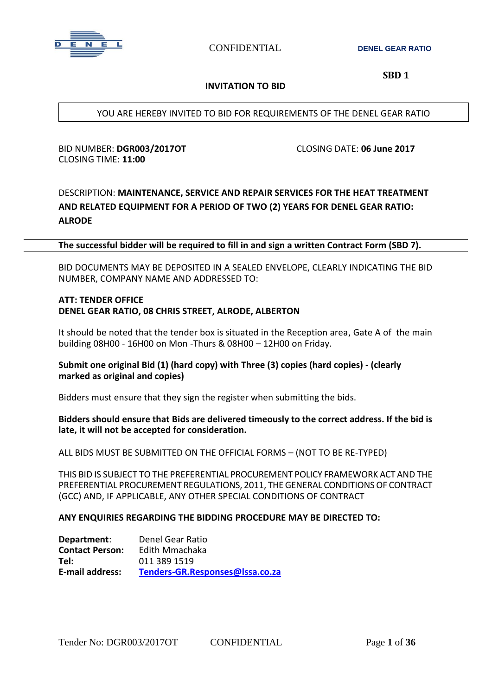

**CONFIDENTIAL DENEL GEAR RATIO** 

 **SBD 1**

#### **INVITATION TO BID**

YOU ARE HEREBY INVITED TO BID FOR REQUIREMENTS OF THE DENEL GEAR RATIO

BID NUMBER: **DGR003/2017OT** CLOSING DATE: **06 June 2017** CLOSING TIME: **11:00**

# DESCRIPTION: **MAINTENANCE, SERVICE AND REPAIR SERVICES FOR THE HEAT TREATMENT AND RELATED EQUIPMENT FOR A PERIOD OF TWO (2) YEARS FOR DENEL GEAR RATIO: ALRODE**

**The successful bidder will be required to fill in and sign a written Contract Form (SBD 7).**

BID DOCUMENTS MAY BE DEPOSITED IN A SEALED ENVELOPE, CLEARLY INDICATING THE BID NUMBER, COMPANY NAME AND ADDRESSED TO:

#### **ATT: TENDER OFFICE DENEL GEAR RATIO, 08 CHRIS STREET, ALRODE, ALBERTON**

It should be noted that the tender box is situated in the Reception area, Gate A of the main building 08H00 - 16H00 on Mon -Thurs & 08H00 – 12H00 on Friday.

#### **Submit one original Bid (1) (hard copy) with Three (3) copies (hard copies) - (clearly marked as original and copies)**

Bidders must ensure that they sign the register when submitting the bids.

#### **Bidders should ensure that Bids are delivered timeously to the correct address. If the bid is late, it will not be accepted for consideration.**

ALL BIDS MUST BE SUBMITTED ON THE OFFICIAL FORMS – (NOT TO BE RE-TYPED)

THIS BID IS SUBJECT TO THE PREFERENTIAL PROCUREMENT POLICY FRAMEWORK ACT AND THE PREFERENTIAL PROCUREMENT REGULATIONS, 2011, THE GENERAL CONDITIONSOF CONTRACT (GCC) AND, IF APPLICABLE, ANY OTHER SPECIAL CONDITIONS OF CONTRACT

#### **ANY ENQUIRIES REGARDING THE BIDDING PROCEDURE MAY BE DIRECTED TO:**

| Department:            | Denel Gear Ratio                |
|------------------------|---------------------------------|
| <b>Contact Person:</b> | Edith Mmachaka                  |
| Tel:                   | 011 389 1519                    |
| <b>E-mail address:</b> | Tenders-GR.Responses@Issa.co.za |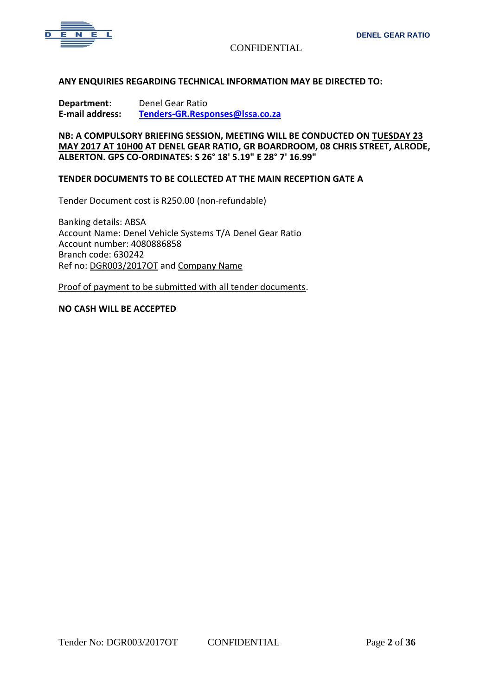

#### **ANY ENQUIRIES REGARDING TECHNICAL INFORMATION MAY BE DIRECTED TO:**

**Department**: Denel Gear Ratio **E-mail address: [Tenders-GR.Responses@lssa.co.za](mailto:Tenders-GR.Responses@lssa.co.za)**

**NB: A COMPULSORY BRIEFING SESSION, MEETING WILL BE CONDUCTED ON TUESDAY 23 MAY 2017 AT 10H00 AT DENEL GEAR RATIO, GR BOARDROOM, 08 CHRIS STREET, ALRODE, ALBERTON. GPS CO-ORDINATES: S 26° 18' 5.19" E 28° 7' 16.99"**

#### **TENDER DOCUMENTS TO BE COLLECTED AT THE MAIN RECEPTION GATE A**

Tender Document cost is R250.00 (non-refundable)

Banking details: ABSA Account Name: Denel Vehicle Systems T/A Denel Gear Ratio Account number: 4080886858 Branch code: 630242 Ref no: DGR003/2017OT and Company Name

Proof of payment to be submitted with all tender documents.

#### **NO CASH WILL BE ACCEPTED**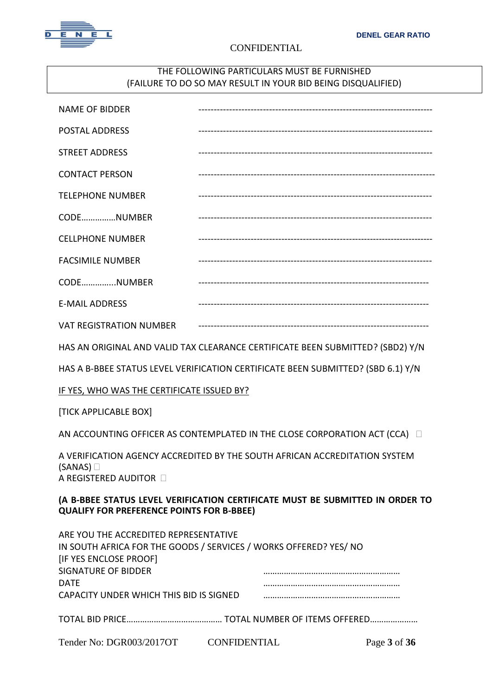

## THE FOLLOWING PARTICULARS MUST BE FURNISHED (FAILURE TO DO SO MAY RESULT IN YOUR BID BEING DISQUALIFIED)

| <b>NAME OF BIDDER</b>                                                                                                                                                             |                                                                                  |  |  |  |
|-----------------------------------------------------------------------------------------------------------------------------------------------------------------------------------|----------------------------------------------------------------------------------|--|--|--|
| <b>POSTAL ADDRESS</b>                                                                                                                                                             |                                                                                  |  |  |  |
| <b>STREET ADDRESS</b>                                                                                                                                                             |                                                                                  |  |  |  |
| <b>CONTACT PERSON</b>                                                                                                                                                             |                                                                                  |  |  |  |
| <b>TELEPHONE NUMBER</b>                                                                                                                                                           |                                                                                  |  |  |  |
| CODENUMBER                                                                                                                                                                        |                                                                                  |  |  |  |
| <b>CELLPHONE NUMBER</b>                                                                                                                                                           |                                                                                  |  |  |  |
| <b>FACSIMILE NUMBER</b>                                                                                                                                                           |                                                                                  |  |  |  |
| CODENUMBER                                                                                                                                                                        |                                                                                  |  |  |  |
| <b>E-MAIL ADDRESS</b>                                                                                                                                                             |                                                                                  |  |  |  |
| <b>VAT REGISTRATION NUMBER</b>                                                                                                                                                    |                                                                                  |  |  |  |
|                                                                                                                                                                                   | HAS AN ORIGINAL AND VALID TAX CLEARANCE CERTIFICATE BEEN SUBMITTED? (SBD2) Y/N   |  |  |  |
|                                                                                                                                                                                   | HAS A B-BBEE STATUS LEVEL VERIFICATION CERTIFICATE BEEN SUBMITTED? (SBD 6.1) Y/N |  |  |  |
| IF YES, WHO WAS THE CERTIFICATE ISSUED BY?                                                                                                                                        |                                                                                  |  |  |  |
| [TICK APPLICABLE BOX]                                                                                                                                                             |                                                                                  |  |  |  |
|                                                                                                                                                                                   | AN ACCOUNTING OFFICER AS CONTEMPLATED IN THE CLOSE CORPORATION ACT (CCA) $\Box$  |  |  |  |
| A VERIFICATION AGENCY ACCREDITED BY THE SOUTH AFRICAN ACCREDITATION SYSTEM<br>(SANAS)<br>A REGISTERED AUDITOR D                                                                   |                                                                                  |  |  |  |
| (A B-BBEE STATUS LEVEL VERIFICATION CERTIFICATE MUST BE SUBMITTED IN ORDER TO<br><b>QUALIFY FOR PREFERENCE POINTS FOR B-BBEE)</b>                                                 |                                                                                  |  |  |  |
| ARE YOU THE ACCREDITED REPRESENTATIVE<br>IN SOUTH AFRICA FOR THE GOODS / SERVICES / WORKS OFFERED? YES/ NO<br>[IF YES ENCLOSE PROOF]<br><b>SIGNATURE OF BIDDER</b><br><b>DATE</b> |                                                                                  |  |  |  |
| CAPACITY UNDER WHICH THIS BID IS SIGNED                                                                                                                                           |                                                                                  |  |  |  |

TOTAL BID PRICE…………………………………… TOTAL NUMBER OF ITEMS OFFERED…………………

Tender No: DGR003/2017OT CONFIDENTIAL Page **3** of **36**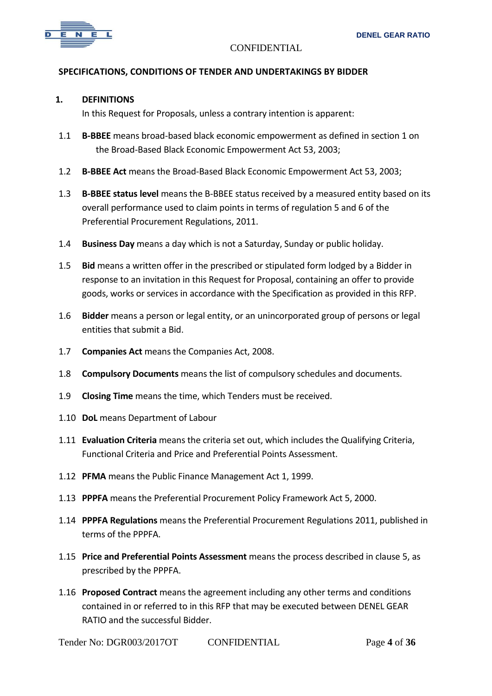

#### **SPECIFICATIONS, CONDITIONS OF TENDER AND UNDERTAKINGS BY BIDDER**

#### **1. DEFINITIONS**

In this Request for Proposals, unless a contrary intention is apparent:

- 1.1 **B-BBEE** means broad-based black economic empowerment as defined in section 1 on the Broad-Based Black Economic Empowerment Act 53, 2003;
- 1.2 **B-BBEE Act** means the Broad-Based Black Economic Empowerment Act 53, 2003;
- 1.3 **B-BBEE status level** means the B-BBEE status received by a measured entity based on its overall performance used to claim points in terms of regulation 5 and 6 of the Preferential Procurement Regulations, 2011.
- 1.4 **Business Day** means a day which is not a Saturday, Sunday or public holiday.
- 1.5 **Bid** means a written offer in the prescribed or stipulated form lodged by a Bidder in response to an invitation in this Request for Proposal, containing an offer to provide goods, works or services in accordance with the Specification as provided in this RFP.
- 1.6 **Bidder** means a person or legal entity, or an unincorporated group of persons or legal entities that submit a Bid.
- 1.7 **Companies Act** means the Companies Act, 2008.
- 1.8 **Compulsory Documents** means the list of compulsory schedules and documents.
- 1.9 **Closing Time** means the time, which Tenders must be received.
- 1.10 **DoL** means Department of Labour
- 1.11 **Evaluation Criteria** means the criteria set out, which includes the Qualifying Criteria, Functional Criteria and Price and Preferential Points Assessment.
- 1.12 **PFMA** means the Public Finance Management Act 1, 1999.
- 1.13 **PPPFA** means the Preferential Procurement Policy Framework Act 5, 2000.
- 1.14 **PPPFA Regulations** means the Preferential Procurement Regulations 2011, published in terms of the PPPFA.
- 1.15 **Price and Preferential Points Assessment** means the process described in clause 5, as prescribed by the PPPFA.
- 1.16 **Proposed Contract** means the agreement including any other terms and conditions contained in or referred to in this RFP that may be executed between DENEL GEAR RATIO and the successful Bidder.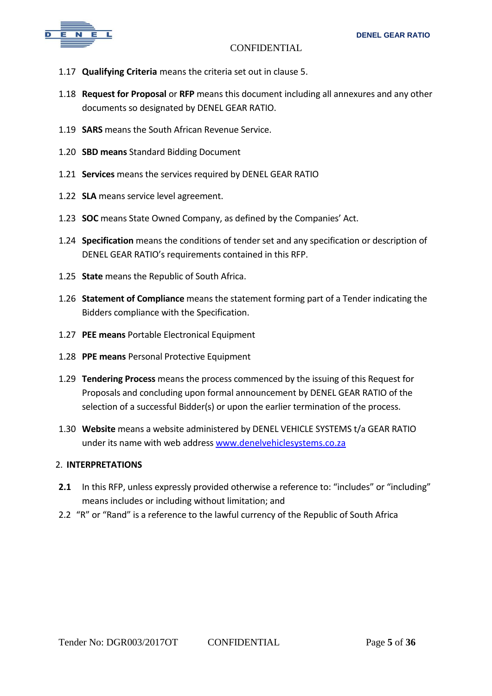

- 1.17 **Qualifying Criteria** means the criteria set out in clause 5.
- 1.18 **Request for Proposal** or **RFP** means this document including all annexures and any other documents so designated by DENEL GEAR RATIO.
- 1.19 **SARS** means the South African Revenue Service.
- 1.20 **SBD means** Standard Bidding Document
- 1.21 **Services** means the services required by DENEL GEAR RATIO
- 1.22 **SLA** means service level agreement.
- 1.23 **SOC** means State Owned Company, as defined by the Companies' Act.
- 1.24 **Specification** means the conditions of tender set and any specification or description of DENEL GEAR RATIO's requirements contained in this RFP.
- 1.25 **State** means the Republic of South Africa.
- 1.26 **Statement of Compliance** means the statement forming part of a Tender indicating the Bidders compliance with the Specification.
- 1.27 **PEE means** Portable Electronical Equipment
- 1.28 **PPE means** Personal Protective Equipment
- 1.29 **Tendering Process** means the process commenced by the issuing of this Request for Proposals and concluding upon formal announcement by DENEL GEAR RATIO of the selection of a successful Bidder(s) or upon the earlier termination of the process.
- 1.30 **Website** means a website administered by DENEL VEHICLE SYSTEMS t/a GEAR RATIO under its name with web address [www.denelvehiclesystems.co.za](http://www.denelvehiclesystems.co.za/)

#### 2. **INTERPRETATIONS**

- 2.1 In this RFP, unless expressly provided otherwise a reference to: "includes" or "including" means includes or including without limitation; and
- 2.2 "R" or "Rand" is a reference to the lawful currency of the Republic of South Africa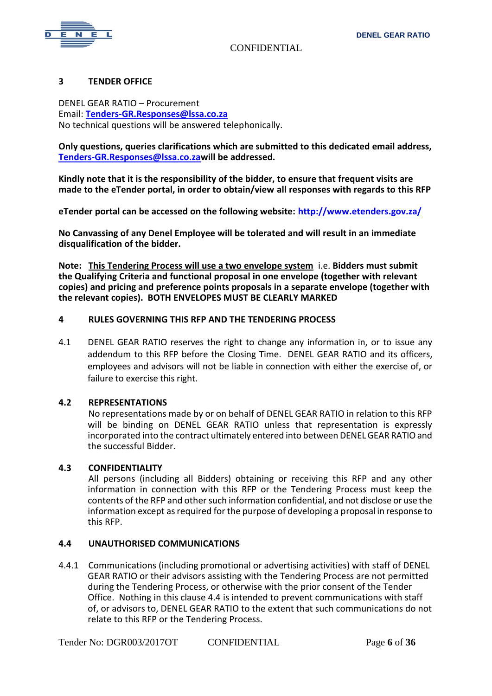

#### **3 TENDER OFFICE**

DENEL GEAR RATIO – Procurement Email: **[Tenders-GR.Responses@lssa.co.za](mailto:Tenders-GR.Responses@lssa.co.za)** No technical questions will be answered telephonically.

**Only questions, queries clarifications which are submitted to this dedicated email address, [Tenders-GR.Responses@lssa.co.zaw](mailto:Tenders-GR.Responses@lssa.co.za)ill be addressed.**

**Kindly note that it is the responsibility of the bidder, to ensure that frequent visits are made to the eTender portal, in order to obtain/view all responses with regards to this RFP**

**eTender portal can be accessed on the following website:<http://www.etenders.gov.za/>**

**No Canvassing of any Denel Employee will be tolerated and will result in an immediate disqualification of the bidder.** 

**Note: This Tendering Process will use a two envelope system** i.e. **Bidders must submit the Qualifying Criteria and functional proposal in one envelope (together with relevant copies) and pricing and preference points proposals in a separate envelope (together with the relevant copies). BOTH ENVELOPES MUST BE CLEARLY MARKED**

#### **4 RULES GOVERNING THIS RFP AND THE TENDERING PROCESS**

4.1 DENEL GEAR RATIO reserves the right to change any information in, or to issue any addendum to this RFP before the Closing Time. DENEL GEAR RATIO and its officers, employees and advisors will not be liable in connection with either the exercise of, or failure to exercise this right.

#### **4.2 REPRESENTATIONS**

No representations made by or on behalf of DENEL GEAR RATIO in relation to this RFP will be binding on DENEL GEAR RATIO unless that representation is expressly incorporated into the contract ultimately entered into between DENEL GEAR RATIO and the successful Bidder.

#### **4.3 CONFIDENTIALITY**

All persons (including all Bidders) obtaining or receiving this RFP and any other information in connection with this RFP or the Tendering Process must keep the contents of the RFP and other such information confidential, and not disclose or use the information except as required for the purpose of developing a proposal in response to this RFP.

#### **4.4 UNAUTHORISED COMMUNICATIONS**

4.4.1 Communications (including promotional or advertising activities) with staff of DENEL GEAR RATIO or their advisors assisting with the Tendering Process are not permitted during the Tendering Process, or otherwise with the prior consent of the Tender Office. Nothing in this clause 4.4 is intended to prevent communications with staff of, or advisors to, DENEL GEAR RATIO to the extent that such communications do not relate to this RFP or the Tendering Process.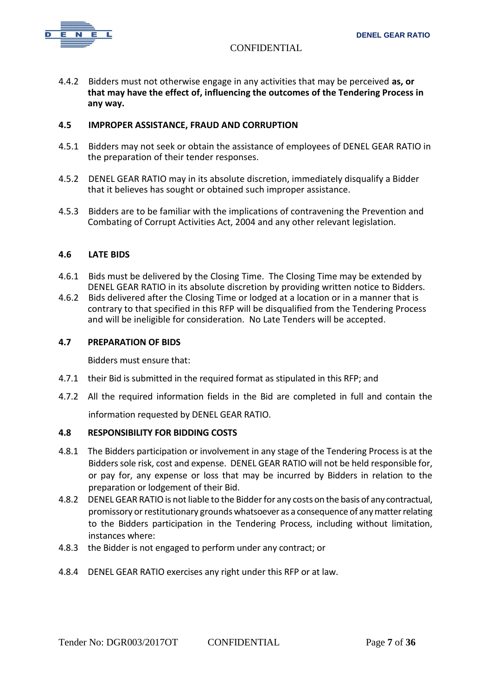

4.4.2 Bidders must not otherwise engage in any activities that may be perceived **as, or that may have the effect of, influencing the outcomes of the Tendering Process in any way.**

#### **4.5 IMPROPER ASSISTANCE, FRAUD AND CORRUPTION**

- 4.5.1 Bidders may not seek or obtain the assistance of employees of DENEL GEAR RATIO in the preparation of their tender responses.
- 4.5.2 DENEL GEAR RATIO may in its absolute discretion, immediately disqualify a Bidder that it believes has sought or obtained such improper assistance.
- 4.5.3 Bidders are to be familiar with the implications of contravening the Prevention and Combating of Corrupt Activities Act, 2004 and any other relevant legislation.

#### **4.6 LATE BIDS**

- 4.6.1 Bids must be delivered by the Closing Time. The Closing Time may be extended by DENEL GEAR RATIO in its absolute discretion by providing written notice to Bidders.
- 4.6.2 Bids delivered after the Closing Time or lodged at a location or in a manner that is contrary to that specified in this RFP will be disqualified from the Tendering Process and will be ineligible for consideration. No Late Tenders will be accepted.

#### **4.7 PREPARATION OF BIDS**

Bidders must ensure that:

- 4.7.1 their Bid is submitted in the required format as stipulated in this RFP; and
- 4.7.2 All the required information fields in the Bid are completed in full and contain the information requested by DENEL GEAR RATIO.

#### **4.8 RESPONSIBILITY FOR BIDDING COSTS**

- 4.8.1 The Bidders participation or involvement in any stage of the Tendering Process is at the Bidders sole risk, cost and expense. DENEL GEAR RATIO will not be held responsible for, or pay for, any expense or loss that may be incurred by Bidders in relation to the preparation or lodgement of their Bid.
- 4.8.2 DENEL GEAR RATIO is not liable to the Bidder for any costs on the basis of any contractual, promissory or restitutionary grounds whatsoever as a consequence of any matter relating to the Bidders participation in the Tendering Process, including without limitation, instances where:
- 4.8.3 the Bidder is not engaged to perform under any contract; or
- 4.8.4 DENEL GEAR RATIO exercises any right under this RFP or at law.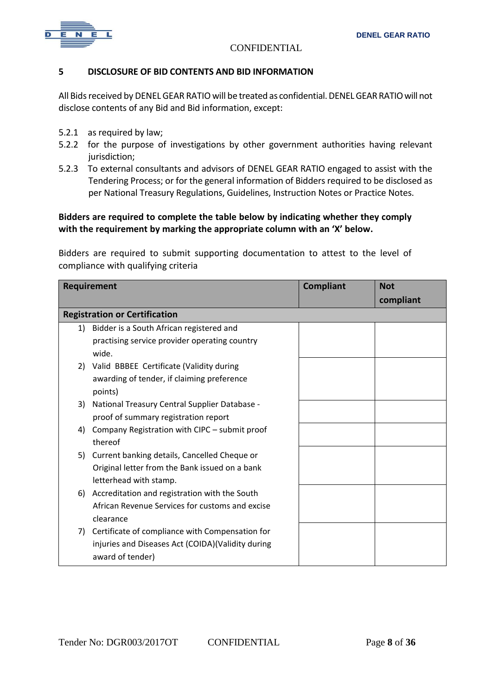

#### **5 DISCLOSURE OF BID CONTENTS AND BID INFORMATION**

All Bids received by DENEL GEAR RATIO will be treated as confidential. DENEL GEAR RATIO will not disclose contents of any Bid and Bid information, except:

- 5.2.1 as required by law;
- 5.2.2 for the purpose of investigations by other government authorities having relevant jurisdiction;
- 5.2.3 To external consultants and advisors of DENEL GEAR RATIO engaged to assist with the Tendering Process; or for the general information of Bidders required to be disclosed as per National Treasury Regulations, Guidelines, Instruction Notes or Practice Notes.

## **Bidders are required to complete the table below by indicating whether they comply with the requirement by marking the appropriate column with an 'X' below.**

Bidders are required to submit supporting documentation to attest to the level of compliance with qualifying criteria

| Requirement                          |                                                    | <b>Compliant</b> | <b>Not</b> |  |  |
|--------------------------------------|----------------------------------------------------|------------------|------------|--|--|
|                                      |                                                    |                  | compliant  |  |  |
| <b>Registration or Certification</b> |                                                    |                  |            |  |  |
|                                      | 1) Bidder is a South African registered and        |                  |            |  |  |
|                                      | practising service provider operating country      |                  |            |  |  |
|                                      | wide.                                              |                  |            |  |  |
|                                      | 2) Valid BBBEE Certificate (Validity during        |                  |            |  |  |
|                                      | awarding of tender, if claiming preference         |                  |            |  |  |
|                                      | points)                                            |                  |            |  |  |
| 3)                                   | National Treasury Central Supplier Database -      |                  |            |  |  |
|                                      | proof of summary registration report               |                  |            |  |  |
| 4)                                   | Company Registration with CIPC - submit proof      |                  |            |  |  |
|                                      | thereof                                            |                  |            |  |  |
|                                      | 5) Current banking details, Cancelled Cheque or    |                  |            |  |  |
|                                      | Original letter from the Bank issued on a bank     |                  |            |  |  |
|                                      | letterhead with stamp.                             |                  |            |  |  |
|                                      | 6) Accreditation and registration with the South   |                  |            |  |  |
|                                      | African Revenue Services for customs and excise    |                  |            |  |  |
|                                      | clearance                                          |                  |            |  |  |
|                                      | 7) Certificate of compliance with Compensation for |                  |            |  |  |
|                                      | injuries and Diseases Act (COIDA) (Validity during |                  |            |  |  |
|                                      | award of tender)                                   |                  |            |  |  |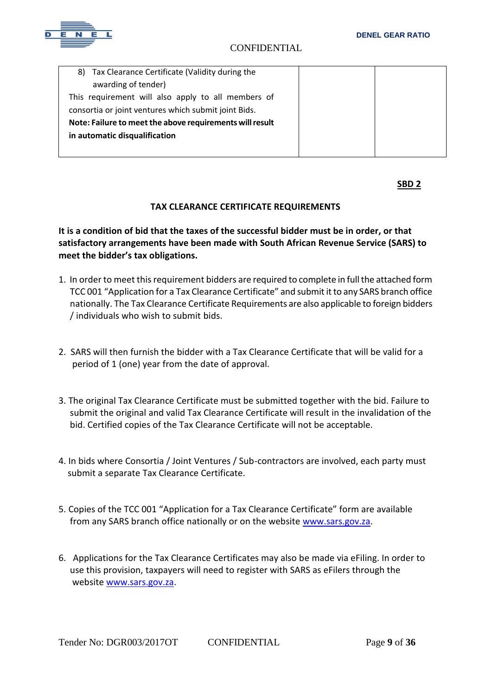

| Tax Clearance Certificate (Validity during the<br>8)     |  |
|----------------------------------------------------------|--|
| awarding of tender)                                      |  |
| This requirement will also apply to all members of       |  |
| consortia or joint ventures which submit joint Bids.     |  |
| Note: Failure to meet the above requirements will result |  |
| in automatic disqualification                            |  |
|                                                          |  |

**SBD 2** 

## **TAX CLEARANCE CERTIFICATE REQUIREMENTS**

**It is a condition of bid that the taxes of the successful bidder must be in order, or that satisfactory arrangements have been made with South African Revenue Service (SARS) to meet the bidder's tax obligations.**

- 1. In order to meet this requirement bidders are required to complete in full the attached form TCC 001 "Application for a Tax Clearance Certificate" and submit it to any SARS branch office nationally. The Tax Clearance Certificate Requirements are also applicable to foreign bidders / individuals who wish to submit bids.
- 2. SARS will then furnish the bidder with a Tax Clearance Certificate that will be valid for a period of 1 (one) year from the date of approval.
- 3. The original Tax Clearance Certificate must be submitted together with the bid. Failure to submit the original and valid Tax Clearance Certificate will result in the invalidation of the bid. Certified copies of the Tax Clearance Certificate will not be acceptable.
- 4. In bids where Consortia / Joint Ventures / Sub-contractors are involved, each party must submit a separate Tax Clearance Certificate.
- 5. Copies of the TCC 001 "Application for a Tax Clearance Certificate" form are available from any SARS branch office nationally or on the website [www.sars.gov.za.](http://www.sars.gov.za/)
- 6. Applications for the Tax Clearance Certificates may also be made via eFiling. In order to use this provision, taxpayers will need to register with SARS as eFilers through the website [www.sars.gov.za.](http://www.sars.gov.za/)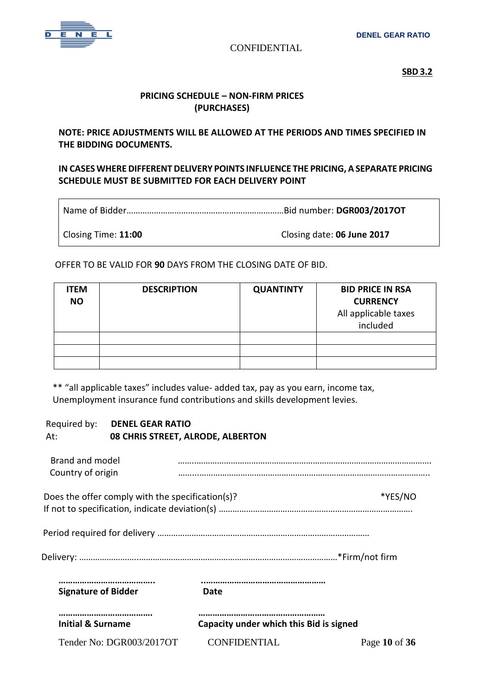

**SBD 3.2 SBD 3.2** 

## **PRICING SCHEDULE – NON-FIRM PRICES (PURCHASES)**

**NOTE: PRICE ADJUSTMENTS WILL BE ALLOWED AT THE PERIODS AND TIMES SPECIFIED IN THE BIDDING DOCUMENTS.** 

# **IN CASES WHERE DIFFERENT DELIVERY POINTS INFLUENCE THE PRICING, A SEPARATE PRICING SCHEDULE MUST BE SUBMITTED FOR EACH DELIVERY POINT**

Name of Bidder……………………………………………………………Bid number: **DGR003/2017OT**

Closing Time: **11:00** Closing date: **06 June 2017**

OFFER TO BE VALID FOR **90** DAYS FROM THE CLOSING DATE OF BID.

| <b>ITEM</b><br><b>NO</b> | <b>DESCRIPTION</b> | <b>QUANTINTY</b> | <b>BID PRICE IN RSA</b><br><b>CURRENCY</b><br>All applicable taxes<br>included |
|--------------------------|--------------------|------------------|--------------------------------------------------------------------------------|
|                          |                    |                  |                                                                                |
|                          |                    |                  |                                                                                |
|                          |                    |                  |                                                                                |

 \*\* "all applicable taxes" includes value- added tax, pay as you earn, income tax, Unemployment insurance fund contributions and skills development levies.

## Required by: **DENEL GEAR RATIO** At: **08 CHRIS STREET, ALRODE, ALBERTON**

| <b>Signature of Bidder</b>                       | Date |         |
|--------------------------------------------------|------|---------|
|                                                  |      |         |
|                                                  |      |         |
|                                                  |      |         |
|                                                  |      |         |
| Does the offer comply with the specification(s)? |      | *YES/NO |
|                                                  |      |         |
| Brand and model<br>Country of origin             |      |         |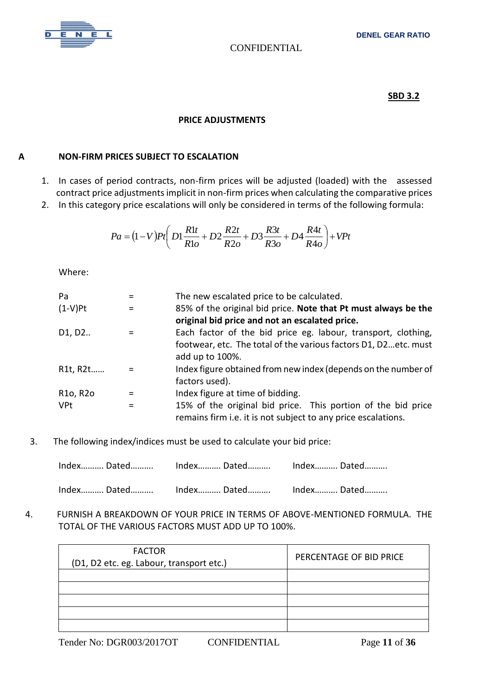

## **SBD 3.2**

#### **PRICE ADJUSTMENTS**

# **A NON-FIRM PRICES SUBJECT TO ESCALATION**

- 1. In cases of period contracts, non-firm prices will be adjusted (loaded) with the assessed contract price adjustments implicit in non-firm prices when calculating the comparative prices
- 2. In this category price escalations will only be considered in terms of the following formula:

$$
Pa = (1 - V)Pt \left( D1 \frac{R1t}{R1o} + D2 \frac{R2t}{R2o} + D3 \frac{R3t}{R3o} + D4 \frac{R4t}{R4o} \right) + VPt
$$

Where:

| Pa                                | $=$ | The new escalated price to be calculated.                       |
|-----------------------------------|-----|-----------------------------------------------------------------|
| $(1-V)$ Pt                        |     | 85% of the original bid price. Note that Pt must always be the  |
|                                   |     | original bid price and not an escalated price.                  |
| D <sub>1</sub> , D <sub>2</sub>   | =   | Each factor of the bid price eg. labour, transport, clothing,   |
|                                   |     | footwear, etc. The total of the various factors D1, D2etc. must |
|                                   |     | add up to 100%.                                                 |
| R1t, R2t                          |     | Index figure obtained from new index (depends on the number of  |
|                                   |     | factors used).                                                  |
| R <sub>10</sub> , R <sub>20</sub> | =   | Index figure at time of bidding.                                |
| <b>VPt</b>                        |     | 15% of the original bid price. This portion of the bid price    |
|                                   |     | remains firm i.e. it is not subject to any price escalations.   |

3. The following index/indices must be used to calculate your bid price:

| Index Dated Index Dated Index Dated |  |
|-------------------------------------|--|

 4. FURNISH A BREAKDOWN OF YOUR PRICE IN TERMS OF ABOVE-MENTIONED FORMULA. THE TOTAL OF THE VARIOUS FACTORS MUST ADD UP TO 100%.

| <b>FACTOR</b><br>(D1, D2 etc. eg. Labour, transport etc.) | PERCENTAGE OF BID PRICE |
|-----------------------------------------------------------|-------------------------|
|                                                           |                         |
|                                                           |                         |
|                                                           |                         |
|                                                           |                         |
|                                                           |                         |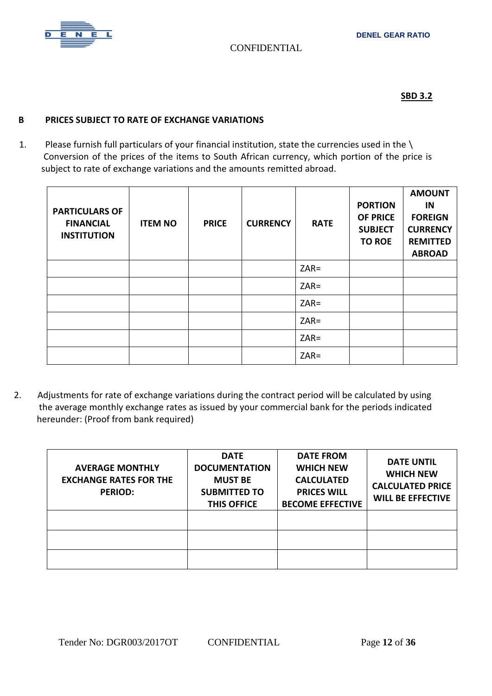

# **SBD 3.2**

# **B PRICES SUBJECT TO RATE OF EXCHANGE VARIATIONS**

1. Please furnish full particulars of your financial institution, state the currencies used in the \ Conversion of the prices of the items to South African currency, which portion of the price is subject to rate of exchange variations and the amounts remitted abroad.

| <b>PARTICULARS OF</b><br><b>FINANCIAL</b><br><b>INSTITUTION</b> | <b>ITEM NO</b> | <b>PRICE</b> | <b>CURRENCY</b> | <b>RATE</b> | <b>PORTION</b><br><b>OF PRICE</b><br><b>SUBJECT</b><br><b>TO ROE</b> | <b>AMOUNT</b><br>IN<br><b>FOREIGN</b><br><b>CURRENCY</b><br><b>REMITTED</b><br><b>ABROAD</b> |
|-----------------------------------------------------------------|----------------|--------------|-----------------|-------------|----------------------------------------------------------------------|----------------------------------------------------------------------------------------------|
|                                                                 |                |              |                 | $ZAR =$     |                                                                      |                                                                                              |
|                                                                 |                |              |                 | $ZAR =$     |                                                                      |                                                                                              |
|                                                                 |                |              |                 | $ZAR =$     |                                                                      |                                                                                              |
|                                                                 |                |              |                 | $ZAR =$     |                                                                      |                                                                                              |
|                                                                 |                |              |                 | $ZAR =$     |                                                                      |                                                                                              |
|                                                                 |                |              |                 | $ZAR =$     |                                                                      |                                                                                              |

2.Adjustments for rate of exchange variations during the contract period will be calculated by using the average monthly exchange rates as issued by your commercial bank for the periods indicated hereunder: (Proof from bank required)

| <b>AVERAGE MONTHLY</b><br><b>EXCHANGE RATES FOR THE</b><br><b>PERIOD:</b> | <b>DATE</b><br><b>DOCUMENTATION</b><br><b>MUST BE</b><br><b>SUBMITTED TO</b><br>THIS OFFICE | <b>DATE FROM</b><br><b>WHICH NEW</b><br><b>CALCULATED</b><br><b>PRICES WILL</b><br><b>BECOME EFFECTIVE</b> | <b>DATE UNTIL</b><br><b>WHICH NEW</b><br><b>CALCULATED PRICE</b><br><b>WILL BE EFFECTIVE</b> |
|---------------------------------------------------------------------------|---------------------------------------------------------------------------------------------|------------------------------------------------------------------------------------------------------------|----------------------------------------------------------------------------------------------|
|                                                                           |                                                                                             |                                                                                                            |                                                                                              |
|                                                                           |                                                                                             |                                                                                                            |                                                                                              |
|                                                                           |                                                                                             |                                                                                                            |                                                                                              |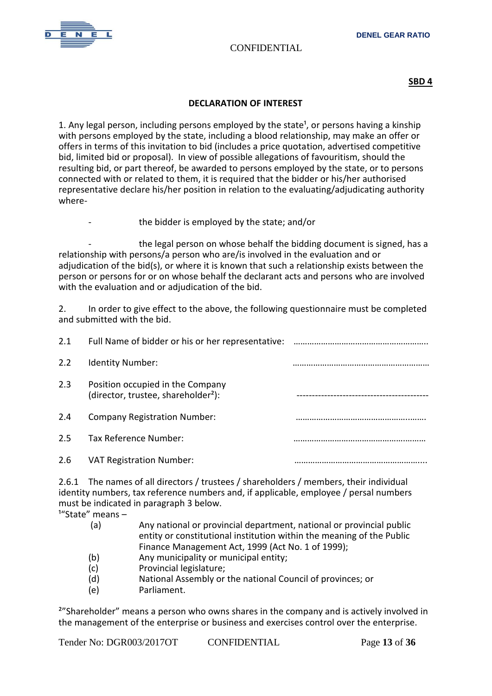

**SBD 4**

#### **DECLARATION OF INTEREST**

1. Any legal person, including persons employed by the state<sup>1</sup>, or persons having a kinship with persons employed by the state, including a blood relationship, may make an offer or offers in terms of this invitation to bid (includes a price quotation, advertised competitive bid, limited bid or proposal). In view of possible allegations of favouritism, should the resulting bid, or part thereof, be awarded to persons employed by the state, or to persons connected with or related to them, it is required that the bidder or his/her authorised representative declare his/her position in relation to the evaluating/adjudicating authority where-

the bidder is employed by the state; and/or

the legal person on whose behalf the bidding document is signed, has a relationship with persons/a person who are/is involved in the evaluation and or adjudication of the bid(s), or where it is known that such a relationship exists between the person or persons for or on whose behalf the declarant acts and persons who are involved with the evaluation and or adjudication of the bid.

2. In order to give effect to the above, the following questionnaire must be completed and submitted with the bid.

| 2.1 | Full Name of bidder or his or her representative:                                   |  |
|-----|-------------------------------------------------------------------------------------|--|
| 2.2 | <b>Identity Number:</b>                                                             |  |
| 2.3 | Position occupied in the Company<br>(director, trustee, shareholder <sup>2</sup> ): |  |
| 2.4 | <b>Company Registration Number:</b>                                                 |  |
| 2.5 | Tax Reference Number:                                                               |  |
| 2.6 | <b>VAT Registration Number:</b>                                                     |  |

2.6.1 The names of all directors / trustees / shareholders / members, their individual identity numbers, tax reference numbers and, if applicable, employee / persal numbers must be indicated in paragraph 3 below.

 $1^{\prime\prime}$ State" means –

| (a) | Any national or provincial department, national or provincial public  |
|-----|-----------------------------------------------------------------------|
|     | entity or constitutional institution within the meaning of the Public |
|     | Finance Management Act, 1999 (Act No. 1 of 1999);                     |

- (b) Any municipality or municipal entity;
- (c) Provincial legislature;
- (d) National Assembly or the national Council of provinces; or
- (e) Parliament.

²"Shareholder" means a person who owns shares in the company and is actively involved in the management of the enterprise or business and exercises control over the enterprise.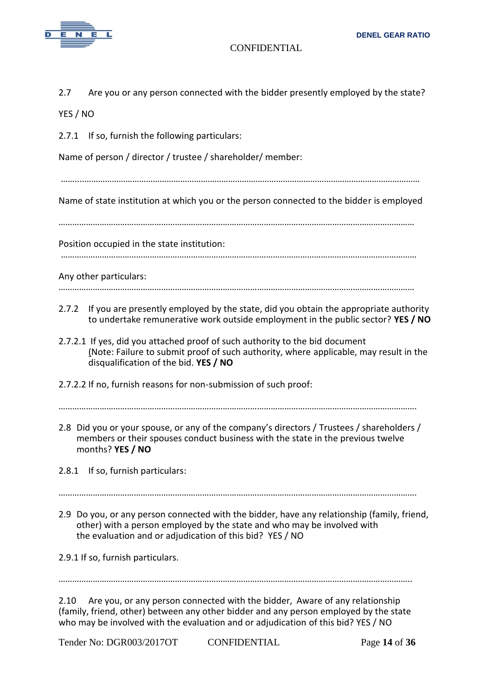

2.7 Are you or any person connected with the bidder presently employed by the state?

YES / NO

2.7.1 If so, furnish the following particulars:

Name of person / director / trustee / shareholder/ member:

……....…………………………………………………………………………………………………………………………………

Name of state institution at which you or the person connected to the bidder is employed

…………………………………………………………………………………………………………………………………………

Position occupied in the state institution:

…………………………………………………………………………………………………………………………………………

Any other particulars:

- …………………………………………………………………………………………………………………………………………
- 2.7.2 If you are presently employed by the state, did you obtain the appropriate authority to undertake remunerative work outside employment in the public sector? **YES / NO**
- 2.7.2.1 If yes, did you attached proof of such authority to the bid document (Note: Failure to submit proof of such authority, where applicable, may result in the disqualification of the bid. **YES / NO**
- 2.7.2.2 If no, furnish reasons for non-submission of such proof:

2.8 Did you or your spouse, or any of the company's directors / Trustees / shareholders / members or their spouses conduct business with the state in the previous twelve months? **YES / NO**

2.8.1 If so, furnish particulars:

………………………………………………………………………………………………………………………………………….

2.9 Do you, or any person connected with the bidder, have any relationship (family, friend, other) with a person employed by the state and who may be involved with the evaluation and or adjudication of this bid? YES / NO

2.9.1 If so, furnish particulars.

………………………………………………………………………………………………………………………………………..

2.10 Are you, or any person connected with the bidder, Aware of any relationship (family, friend, other) between any other bidder and any person employed by the state who may be involved with the evaluation and or adjudication of this bid? YES / NO

Tender No: DGR003/2017OT CONFIDENTIAL Page **14** of **36**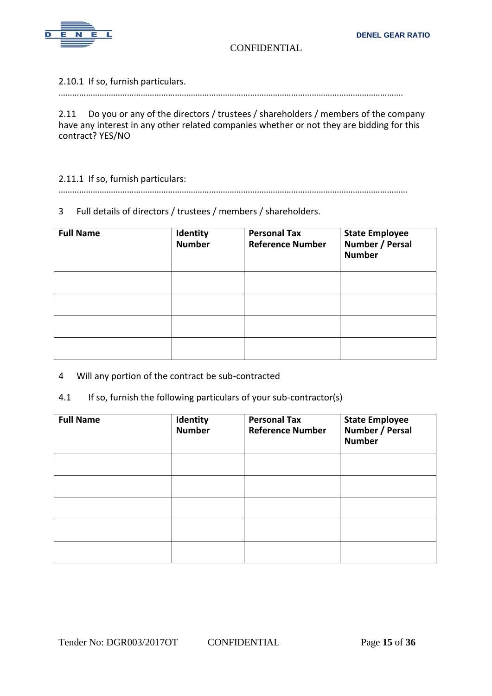

2.10.1 If so, furnish particulars.

…………………………………………………………………………………………………………………………………….

2.11 Do you or any of the directors / trustees / shareholders / members of the company have any interest in any other related companies whether or not they are bidding for this contract? YES/NO

#### 2.11.1 If so, furnish particulars:

………………………………………………………………………………………………………………………………………

# 3 Full details of directors / trustees / members / shareholders.

| <b>Full Name</b> | Identity<br><b>Number</b> | <b>Personal Tax</b><br><b>Reference Number</b> | <b>State Employee</b><br>Number / Persal<br><b>Number</b> |
|------------------|---------------------------|------------------------------------------------|-----------------------------------------------------------|
|                  |                           |                                                |                                                           |
|                  |                           |                                                |                                                           |
|                  |                           |                                                |                                                           |
|                  |                           |                                                |                                                           |

4 Will any portion of the contract be sub-contracted

# 4.1 If so, furnish the following particulars of your sub-contractor(s)

| <b>Full Name</b> | Identity<br><b>Number</b> | <b>Personal Tax</b><br><b>Reference Number</b> | <b>State Employee</b><br>Number / Persal<br><b>Number</b> |
|------------------|---------------------------|------------------------------------------------|-----------------------------------------------------------|
|                  |                           |                                                |                                                           |
|                  |                           |                                                |                                                           |
|                  |                           |                                                |                                                           |
|                  |                           |                                                |                                                           |
|                  |                           |                                                |                                                           |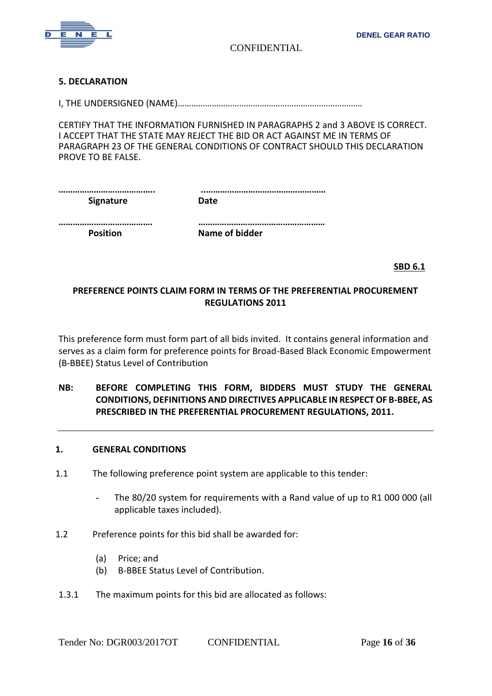

#### **5. DECLARATION**

I, THE UNDERSIGNED (NAME)………………………………………………………………………

CERTIFY THAT THE INFORMATION FURNISHED IN PARAGRAPHS 2 and 3 ABOVE IS CORRECT. I ACCEPT THAT THE STATE MAY REJECT THE BID OR ACT AGAINST ME IN TERMS OF PARAGRAPH 23 OF THE GENERAL CONDITIONS OF CONTRACT SHOULD THIS DECLARATION PROVE TO BE FALSE.

| Signature | Date |  |
|-----------|------|--|
|           |      |  |

**…………………………………. ……………………………………………… Position Mame of bidder** 

**SBD 6.1 SBD 6.1** 

# **PREFERENCE POINTS CLAIM FORM IN TERMS OF THE PREFERENTIAL PROCUREMENT REGULATIONS 2011**

This preference form must form part of all bids invited. It contains general information and serves as a claim form for preference points for Broad-Based Black Economic Empowerment (B-BBEE) Status Level of Contribution

# **NB: BEFORE COMPLETING THIS FORM, BIDDERS MUST STUDY THE GENERAL CONDITIONS, DEFINITIONS AND DIRECTIVES APPLICABLE IN RESPECT OF B-BBEE, AS PRESCRIBED IN THE PREFERENTIAL PROCUREMENT REGULATIONS, 2011.**

#### **1. GENERAL CONDITIONS**

- 1.1 The following preference point system are applicable to this tender:
	- The 80/20 system for requirements with a Rand value of up to R1 000 000 (all applicable taxes included).
- 1.2 Preference points for this bid shall be awarded for:
	- (a) Price; and
	- (b) B-BBEE Status Level of Contribution.
- 1.3.1 The maximum points for this bid are allocated as follows: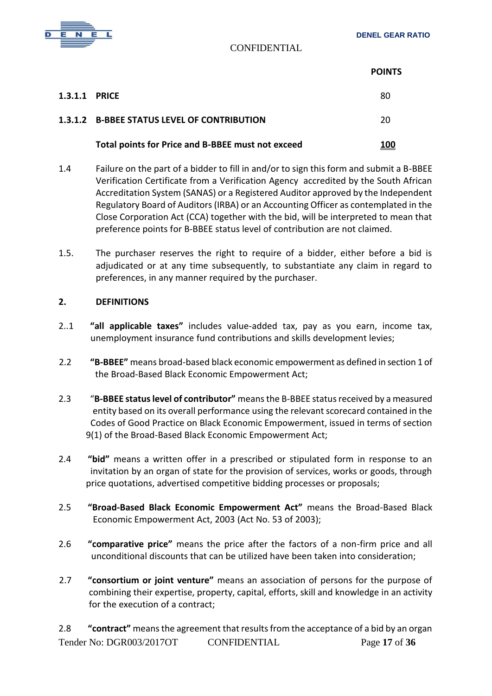

|               |                                                   | <b>POINTS</b> |
|---------------|---------------------------------------------------|---------------|
| 1.3.1.1 PRICE |                                                   | 80            |
|               | 1.3.1.2 B-BBEE STATUS LEVEL OF CONTRIBUTION       | 20            |
|               | Total points for Price and B-BBEE must not exceed | 100           |

- 1.4 Failure on the part of a bidder to fill in and/or to sign this form and submit a B-BBEE Verification Certificate from a Verification Agency accredited by the South African Accreditation System (SANAS) or a Registered Auditor approved by the Independent Regulatory Board of Auditors (IRBA) or an Accounting Officer as contemplated in the Close Corporation Act (CCA) together with the bid, will be interpreted to mean that preference points for B-BBEE status level of contribution are not claimed.
- 1.5. The purchaser reserves the right to require of a bidder, either before a bid is adjudicated or at any time subsequently, to substantiate any claim in regard to preferences, in any manner required by the purchaser.

## **2. DEFINITIONS**

- 2..1 **"all applicable taxes"** includes value-added tax, pay as you earn, income tax, unemployment insurance fund contributions and skills development levies;
- 2.2 **"B-BBEE"** means broad-based black economic empowerment as defined in section 1 of the Broad-Based Black Economic Empowerment Act;
- 2.3 "**B-BBEE status level of contributor"** means the B-BBEE status received by a measured entity based on its overall performance using the relevant scorecard contained in the Codes of Good Practice on Black Economic Empowerment, issued in terms of section 9(1) of the Broad-Based Black Economic Empowerment Act;
- 2.4 **"bid"** means a written offer in a prescribed or stipulated form in response to an invitation by an organ of state for the provision of services, works or goods, through price quotations, advertised competitive bidding processes or proposals;
- 2.5 **"Broad-Based Black Economic Empowerment Act"** means the Broad-Based Black Economic Empowerment Act, 2003 (Act No. 53 of 2003);
- 2.6 **"comparative price"** means the price after the factors of a non-firm price and all unconditional discounts that can be utilized have been taken into consideration;
- 2.7 **"consortium or joint venture"** means an association of persons for the purpose of combining their expertise, property, capital, efforts, skill and knowledge in an activity for the execution of a contract;

Tender No: DGR003/2017OT CONFIDENTIAL Page **17** of **36** 2.8 **"contract"** means the agreement that results from the acceptance of a bid by an organ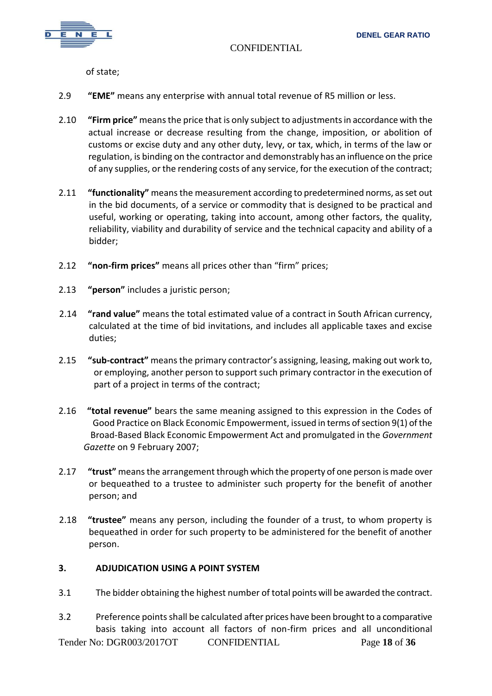

of state;

- 2.9 **"EME"** means any enterprise with annual total revenue of R5 million or less.
- 2.10 **"Firm price"** means the price that is only subject to adjustments in accordance with the actual increase or decrease resulting from the change, imposition, or abolition of customs or excise duty and any other duty, levy, or tax, which, in terms of the law or regulation, is binding on the contractor and demonstrably has an influence on the price of any supplies, or the rendering costs of any service, for the execution of the contract;
- 2.11 **"functionality"** means the measurement according to predetermined norms, as set out in the bid documents, of a service or commodity that is designed to be practical and useful, working or operating, taking into account, among other factors, the quality, reliability, viability and durability of service and the technical capacity and ability of a bidder;
- 2.12 **"non-firm prices"** means all prices other than "firm" prices;
- 2.13 **"person"** includes a juristic person;
- 2.14 **"rand value"** means the total estimated value of a contract in South African currency, calculated at the time of bid invitations, and includes all applicable taxes and excise duties;
- 2.15 **"sub-contract"** means the primary contractor's assigning, leasing, making out work to, or employing, another person to support such primary contractor in the execution of part of a project in terms of the contract;
- 2.16 **"total revenue"** bears the same meaning assigned to this expression in the Codes of Good Practice on Black Economic Empowerment, issued in terms of section 9(1) of the Broad-Based Black Economic Empowerment Act and promulgated in the *Government Gazette* on 9 February 2007;
- 2.17 **"trust"** means the arrangement through which the property of one person is made over or bequeathed to a trustee to administer such property for the benefit of another person; and
- 2.18 **"trustee"** means any person, including the founder of a trust, to whom property is bequeathed in order for such property to be administered for the benefit of another person.

#### **3. ADJUDICATION USING A POINT SYSTEM**

- 3.1 The bidder obtaining the highest number of total points will be awarded the contract.
- Tender No: DGR003/2017OT CONFIDENTIAL Page **18** of **36** 3.2 Preference points shall be calculated after prices have been brought to a comparative basis taking into account all factors of non-firm prices and all unconditional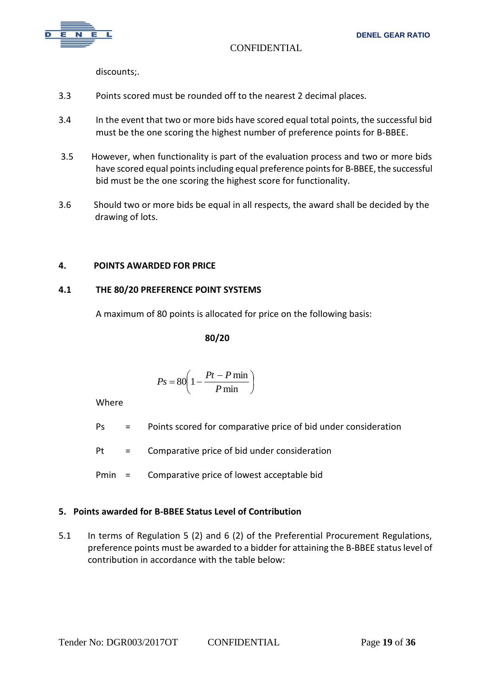

discounts;.

- 3.3 Points scored must be rounded off to the nearest 2 decimal places.
- 3.4 In the event that two or more bids have scored equal total points, the successful bid must be the one scoring the highest number of preference points for B-BBEE.
- 3.5 However, when functionality is part of the evaluation process and two or more bids have scored equal points including equal preference points for B-BBEE, the successful bid must be the one scoring the highest score for functionality.
- 3.6 Should two or more bids be equal in all respects, the award shall be decided by the drawing of lots.

## **4. POINTS AWARDED FOR PRICE**

## **4.1 THE 80/20 PREFERENCE POINT SYSTEMS**

A maximum of 80 points is allocated for price on the following basis:

**80/20**

$$
Ps = 80 \left( 1 - \frac{Pt - P \min}{P \min} \right)
$$

Where

- Ps = Points scored for comparative price of bid under consideration
- Pt = Comparative price of bid under consideration
- Pmin = Comparative price of lowest acceptable bid

# **5. Points awarded for B-BBEE Status Level of Contribution**

5.1 In terms of Regulation 5 (2) and 6 (2) of the Preferential Procurement Regulations, preference points must be awarded to a bidder for attaining the B-BBEE status level of contribution in accordance with the table below: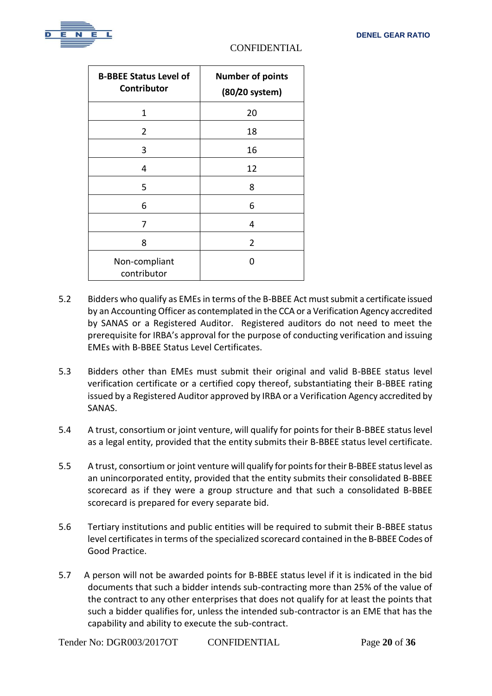

| <b>B-BBEE Status Level of</b><br>Contributor | <b>Number of points</b><br>(80/20 system) |
|----------------------------------------------|-------------------------------------------|
| 1                                            | 20                                        |
| 2                                            | 18                                        |
| 3                                            | 16                                        |
| 4                                            | 12                                        |
| 5                                            | 8                                         |
| 6                                            | 6                                         |
| 7                                            | 4                                         |
| 8                                            | 2                                         |
| Non-compliant<br>contributor                 | 0                                         |

- 5.2 Bidders who qualify as EMEs in terms of the B-BBEE Act must submit a certificate issued by an Accounting Officer as contemplated in the CCA or a Verification Agency accredited by SANAS or a Registered Auditor. Registered auditors do not need to meet the prerequisite for IRBA's approval for the purpose of conducting verification and issuing EMEs with B-BBEE Status Level Certificates.
- 5.3 Bidders other than EMEs must submit their original and valid B-BBEE status level verification certificate or a certified copy thereof, substantiating their B-BBEE rating issued by a Registered Auditor approved by IRBA or a Verification Agency accredited by SANAS.
- 5.4 A trust, consortium or joint venture, will qualify for points for their B-BBEE status level as a legal entity, provided that the entity submits their B-BBEE status level certificate.
- 5.5 A trust, consortium or joint venture will qualify for points for their B-BBEE status level as an unincorporated entity, provided that the entity submits their consolidated B-BBEE scorecard as if they were a group structure and that such a consolidated B-BBEE scorecard is prepared for every separate bid.
- 5.6 Tertiary institutions and public entities will be required to submit their B-BBEE status level certificates in terms of the specialized scorecard contained in the B-BBEE Codes of Good Practice.
- 5.7 A person will not be awarded points for B-BBEE status level if it is indicated in the bid documents that such a bidder intends sub-contracting more than 25% of the value of the contract to any other enterprises that does not qualify for at least the points that such a bidder qualifies for, unless the intended sub-contractor is an EME that has the capability and ability to execute the sub-contract.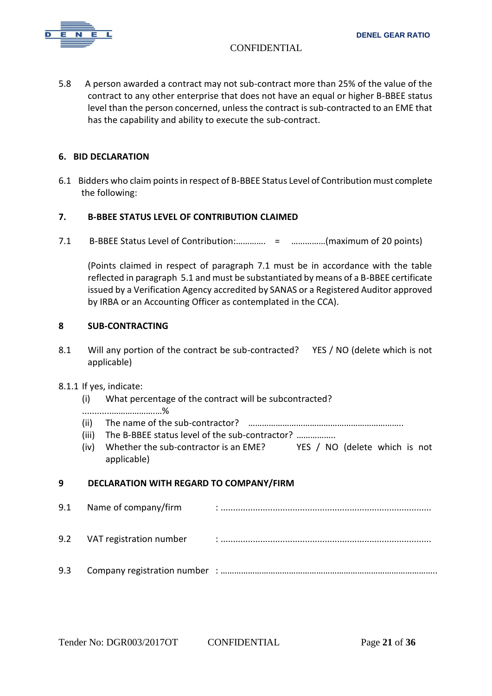

5.8 A person awarded a contract may not sub-contract more than 25% of the value of the contract to any other enterprise that does not have an equal or higher B-BBEE status level than the person concerned, unless the contract is sub-contracted to an EME that has the capability and ability to execute the sub-contract.

## **6. BID DECLARATION**

6.1 Bidders who claim points in respect of B-BBEE Status Level of Contribution must complete the following:

## **7. B-BBEE STATUS LEVEL OF CONTRIBUTION CLAIMED**

7.1 B-BBEE Status Level of Contribution:…………. = ……………(maximum of 20 points)

(Points claimed in respect of paragraph 7.1 must be in accordance with the table reflected in paragraph 5.1 and must be substantiated by means of a B-BBEE certificate issued by a Verification Agency accredited by SANAS or a Registered Auditor approved by IRBA or an Accounting Officer as contemplated in the CCA).

#### **8 SUB-CONTRACTING**

8.1 Will any portion of the contract be sub-contracted? YES / NO (delete which is not applicable)

#### 8.1.1 If yes, indicate:

(i) What percentage of the contract will be subcontracted?

#### ............……………….…%

- (ii) The name of the sub-contractor? …………………………………………………………..
- (iii) The B-BBEE status level of the sub-contractor? ……………..
- (iv) Whether the sub-contractor is an EME? YES / NO (delete which is not applicable)

#### **9 DECLARATION WITH REGARD TO COMPANY/FIRM**

9.1 Name of company/firm : ..................................................................................... 9.2 VAT registration number : ..................................................................................... 9.3 Company registration number : …………………………………………………………………………………..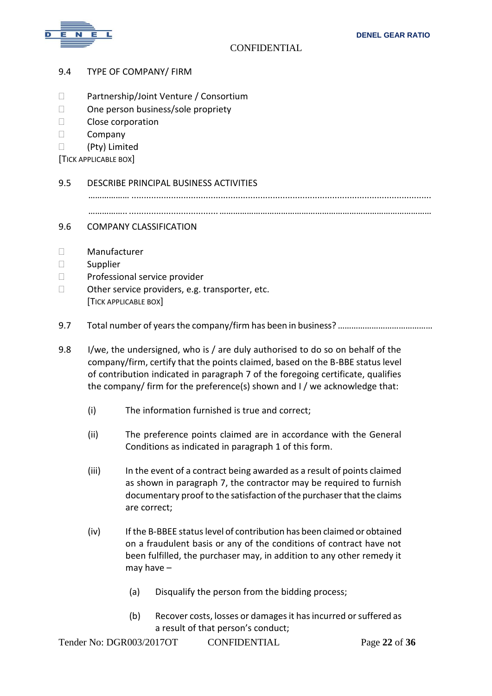

- 9.4 TYPE OF COMPANY/ FIRM
- □ Partnership/Joint Venture / Consortium
- □ One person business/sole propriety
- D Close corporation
- $\square$  Company
- (Pty) Limited

[TICK APPLICABLE BOX]

#### 9.5 DESCRIBE PRINCIPAL BUSINESS ACTIVITIES

……………… .........................................................................................................................

…………….. ....................................…………………………………………………………………………………

#### 9.6 COMPANY CLASSIFICATION

- Manufacturer
- □ Supplier
- $\Box$  Professional service provider
- $\Box$  Other service providers, e.g. transporter, etc. [TICK APPLICABLE BOX]
- 9.7 Total number of years the company/firm has been in business? ………………………………………
- 9.8 I/we, the undersigned, who is / are duly authorised to do so on behalf of the company/firm, certify that the points claimed, based on the B-BBE status level of contribution indicated in paragraph 7 of the foregoing certificate, qualifies the company/ firm for the preference(s) shown and I / we acknowledge that:
	- (i) The information furnished is true and correct;
	- (ii) The preference points claimed are in accordance with the General Conditions as indicated in paragraph 1 of this form.
	- (iii) In the event of a contract being awarded as a result of points claimed as shown in paragraph 7, the contractor may be required to furnish documentary proof to the satisfaction of the purchaser that the claims are correct;
	- (iv) If the B-BBEE status level of contribution has been claimed or obtained on a fraudulent basis or any of the conditions of contract have not been fulfilled, the purchaser may, in addition to any other remedy it may have –
		- (a) Disqualify the person from the bidding process;
		- (b) Recover costs, losses or damages it has incurred or suffered as a result of that person's conduct;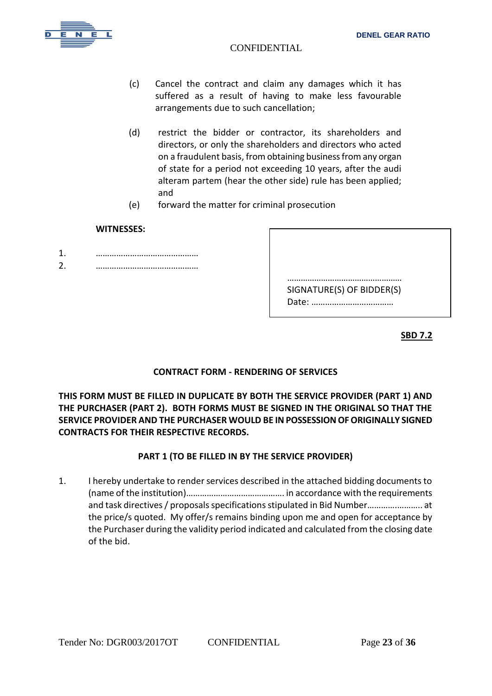- (c) Cancel the contract and claim any damages which it has suffered as a result of having to make less favourable arrangements due to such cancellation;
- (d) restrict the bidder or contractor, its shareholders and directors, or only the shareholders and directors who acted on a fraudulent basis, from obtaining business from any organ of state for a period not exceeding 10 years, after the audi alteram partem (hear the other side) rule has been applied; and
- (e) forward the matter for criminal prosecution

#### **WITNESSES:**

- 1. ………………………………………
- 2. ………………………………………

| SIGNATURE(S) OF BIDDER(S) |  |
|---------------------------|--|

**SBD 7.2**

# **CONTRACT FORM - RENDERING OF SERVICES**

**THIS FORM MUST BE FILLED IN DUPLICATE BY BOTH THE SERVICE PROVIDER (PART 1) AND THE PURCHASER (PART 2). BOTH FORMS MUST BE SIGNED IN THE ORIGINAL SO THAT THE SERVICE PROVIDER AND THE PURCHASER WOULD BE IN POSSESSION OF ORIGINALLY SIGNED CONTRACTS FOR THEIR RESPECTIVE RECORDS.**

# **PART 1 (TO BE FILLED IN BY THE SERVICE PROVIDER)**

1. I hereby undertake to render services described in the attached bidding documents to (name of the institution)……………………………………. in accordance with the requirements and task directives / proposals specifications stipulated in Bid Number………….……….. at the price/s quoted. My offer/s remains binding upon me and open for acceptance by the Purchaser during the validity period indicated and calculated from the closing date of the bid.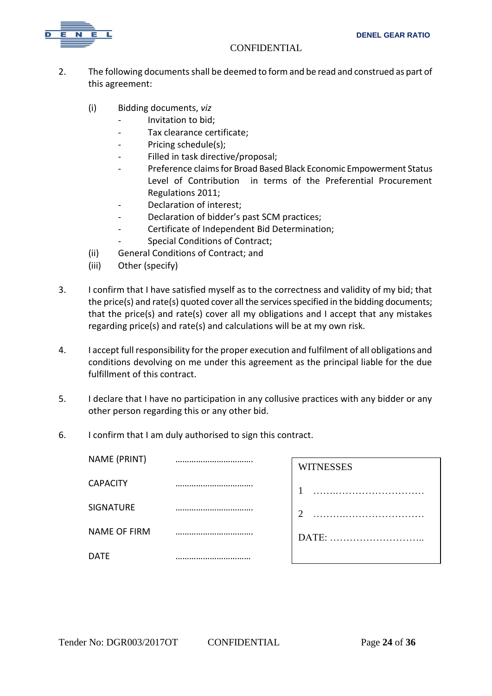

- 2. The following documents shall be deemed to form and be read and construed as part of this agreement:
	- (i) Bidding documents, *viz*
		- *-* Invitation to bid;
		- *-* Tax clearance certificate;
		- Pricing schedule(s);
		- *-* Filled in task directive/proposal;
		- *-* Preference claims for Broad Based Black Economic Empowerment Status Level of Contribution in terms of the Preferential Procurement Regulations 2011;
		- *-* Declaration of interest;
		- *-* Declaration of bidder's past SCM practices;
		- *-* Certificate of Independent Bid Determination;
		- *-* Special Conditions of Contract;
	- (ii) General Conditions of Contract; and
	- (iii) Other (specify)
- 3. I confirm that I have satisfied myself as to the correctness and validity of my bid; that the price(s) and rate(s) quoted cover all the services specified in the bidding documents; that the price(s) and rate(s) cover all my obligations and I accept that any mistakes regarding price(s) and rate(s) and calculations will be at my own risk.
- 4. I accept full responsibility for the proper execution and fulfilment of all obligations and conditions devolving on me under this agreement as the principal liable for the due fulfillment of this contract.
- 5. I declare that I have no participation in any collusive practices with any bidder or any other person regarding this or any other bid.
- 6. I confirm that I am duly authorised to sign this contract.

| NAME (PRINT)        | <b>WITNESSES</b>   |
|---------------------|--------------------|
| <b>CAPACITY</b>     |                    |
| SIGNATURE           | <br>$\overline{2}$ |
| <b>NAME OF FIRM</b> | DATE:              |
| DATE                |                    |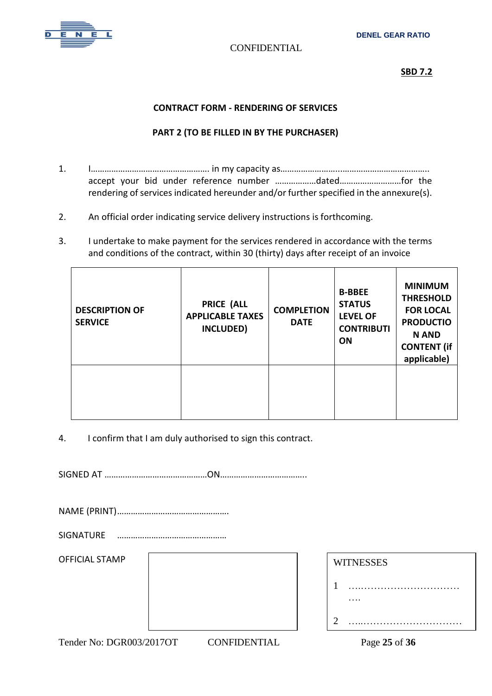

#### **SBD 7.2**

#### **CONTRACT FORM - RENDERING OF SERVICES**

## **PART 2 (TO BE FILLED IN BY THE PURCHASER)**

- 1. I……………………………………………. in my capacity as……………………...……………………………….. accept your bid under reference number ………………dated………………………for the rendering of services indicated hereunder and/or further specified in the annexure(s).
- 2. An official order indicating service delivery instructions is forthcoming.
- 3. I undertake to make payment for the services rendered in accordance with the terms and conditions of the contract, within 30 (thirty) days after receipt of an invoice

| <b>DESCRIPTION OF</b><br><b>SERVICE</b> | <b>PRICE (ALL</b><br><b>APPLICABLE TAXES</b><br>INCLUDED) | <b>COMPLETION</b><br><b>DATE</b> | <b>B-BBEE</b><br><b>STATUS</b><br><b>LEVEL OF</b><br><b>CONTRIBUTI</b><br><b>ON</b> | <b>MINIMUM</b><br><b>THRESHOLD</b><br><b>FOR LOCAL</b><br><b>PRODUCTIO</b><br><b>N AND</b><br><b>CONTENT</b> (if<br>applicable) |
|-----------------------------------------|-----------------------------------------------------------|----------------------------------|-------------------------------------------------------------------------------------|---------------------------------------------------------------------------------------------------------------------------------|
|                                         |                                                           |                                  |                                                                                     |                                                                                                                                 |

4. I confirm that I am duly authorised to sign this contract.

SIGNED AT ………………………………………ON………………………………..

NAME (PRINT)………………………………………….

SIGNATURE …………………………………………

OFFICIAL STAMP

| <b>WITNESSES</b> |
|------------------|
|                  |
|                  |
|                  |

Tender No: DGR003/2017OT CONFIDENTIAL Page **25** of **36**

….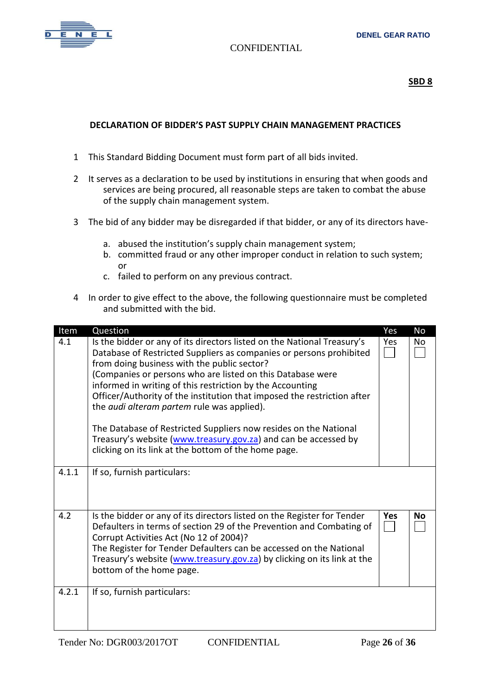

# **SBD 8**

# **DECLARATION OF BIDDER'S PAST SUPPLY CHAIN MANAGEMENT PRACTICES**

- 1 This Standard Bidding Document must form part of all bids invited.
- 2 It serves as a declaration to be used by institutions in ensuring that when goods and services are being procured, all reasonable steps are taken to combat the abuse of the supply chain management system.
- 3 The bid of any bidder may be disregarded if that bidder, or any of its directors have
	- a. abused the institution's supply chain management system;
	- b. committed fraud or any other improper conduct in relation to such system; or
	- c. failed to perform on any previous contract.
- 4 In order to give effect to the above, the following questionnaire must be completed and submitted with the bid.

| Item  | Question                                                                                                                                                                                                                                                                                                                                                                                                                                                                                                                                                                                                                                                | Yes        | <b>No</b> |
|-------|---------------------------------------------------------------------------------------------------------------------------------------------------------------------------------------------------------------------------------------------------------------------------------------------------------------------------------------------------------------------------------------------------------------------------------------------------------------------------------------------------------------------------------------------------------------------------------------------------------------------------------------------------------|------------|-----------|
| 4.1   | Is the bidder or any of its directors listed on the National Treasury's<br>Database of Restricted Suppliers as companies or persons prohibited<br>from doing business with the public sector?<br>(Companies or persons who are listed on this Database were<br>informed in writing of this restriction by the Accounting<br>Officer/Authority of the institution that imposed the restriction after<br>the <i>audi alteram partem</i> rule was applied).<br>The Database of Restricted Suppliers now resides on the National<br>Treasury's website (www.treasury.gov.za) and can be accessed by<br>clicking on its link at the bottom of the home page. | Yes        | <b>No</b> |
| 4.1.1 | If so, furnish particulars:                                                                                                                                                                                                                                                                                                                                                                                                                                                                                                                                                                                                                             |            |           |
| 4.2   | Is the bidder or any of its directors listed on the Register for Tender<br>Defaulters in terms of section 29 of the Prevention and Combating of<br>Corrupt Activities Act (No 12 of 2004)?<br>The Register for Tender Defaulters can be accessed on the National<br>Treasury's website (www.treasury.gov.za) by clicking on its link at the<br>bottom of the home page.                                                                                                                                                                                                                                                                                 | <b>Yes</b> | No        |
| 4.2.1 | If so, furnish particulars:                                                                                                                                                                                                                                                                                                                                                                                                                                                                                                                                                                                                                             |            |           |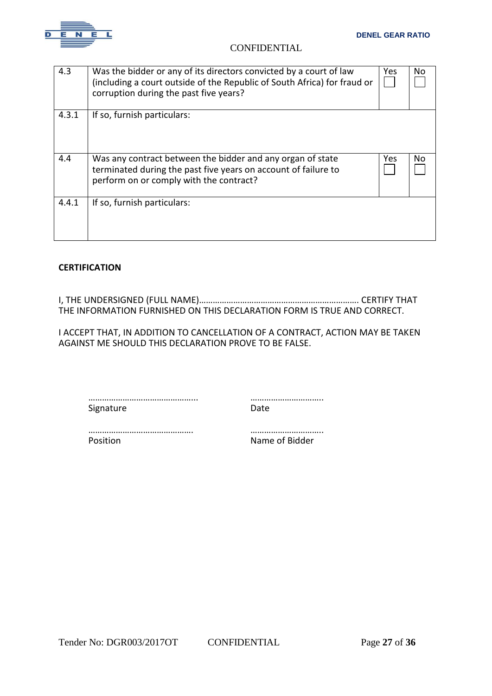

| 4.3   | Was the bidder or any of its directors convicted by a court of law<br>(including a court outside of the Republic of South Africa) for fraud or<br>corruption during the past five years? | Yes  | No  |
|-------|------------------------------------------------------------------------------------------------------------------------------------------------------------------------------------------|------|-----|
| 4.3.1 | If so, furnish particulars:                                                                                                                                                              |      |     |
| 4.4   | Was any contract between the bidder and any organ of state<br>terminated during the past five years on account of failure to<br>perform on or comply with the contract?                  | Yes. | No. |
| 4.4.1 | If so, furnish particulars:                                                                                                                                                              |      |     |

## **CERTIFICATION**

I, THE UNDERSIGNED (FULL NAME)……………………………………………………………. CERTIFY THAT THE INFORMATION FURNISHED ON THIS DECLARATION FORM IS TRUE AND CORRECT.

I ACCEPT THAT, IN ADDITION TO CANCELLATION OF A CONTRACT, ACTION MAY BE TAKEN AGAINST ME SHOULD THIS DECLARATION PROVE TO BE FALSE.

………………………………………... ………………………….. Signature Date

………………………………………. …………………………..

Position **Name of Bidder**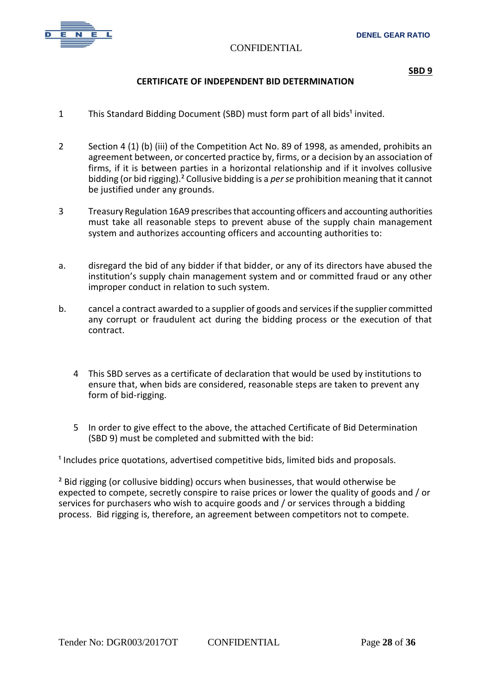

## **CERTIFICATE OF INDEPENDENT BID DETERMINATION**

- 1 This Standard Bidding Document (SBD) must form part of all bids<sup>1</sup> invited.
- 2 Section 4 (1) (b) (iii) of the Competition Act No. 89 of 1998, as amended, prohibits an agreement between, or concerted practice by, firms, or a decision by an association of firms, if it is between parties in a horizontal relationship and if it involves collusive bidding (or bid rigging).² Collusive bidding is a *perse* prohibition meaning that it cannot be justified under any grounds.
- 3 Treasury Regulation 16A9 prescribes that accounting officers and accounting authorities must take all reasonable steps to prevent abuse of the supply chain management system and authorizes accounting officers and accounting authorities to:
- a. disregard the bid of any bidder if that bidder, or any of its directors have abused the institution's supply chain management system and or committed fraud or any other improper conduct in relation to such system.
- b. cancel a contract awarded to a supplier of goods and services if the supplier committed any corrupt or fraudulent act during the bidding process or the execution of that contract.
	- 4 This SBD serves as a certificate of declaration that would be used by institutions to ensure that, when bids are considered, reasonable steps are taken to prevent any form of bid-rigging.
	- 5 In order to give effect to the above, the attached Certificate of Bid Determination (SBD 9) must be completed and submitted with the bid:

<sup>1</sup> Includes price quotations, advertised competitive bids, limited bids and proposals.

<sup>2</sup> Bid rigging (or collusive bidding) occurs when businesses, that would otherwise be expected to compete, secretly conspire to raise prices or lower the quality of goods and / or services for purchasers who wish to acquire goods and / or services through a bidding process. Bid rigging is, therefore, an agreement between competitors not to compete.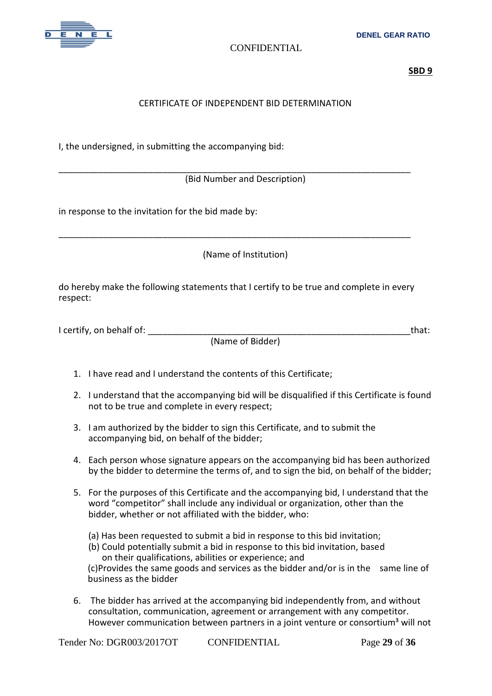

**SBD 9**

# CERTIFICATE OF INDEPENDENT BID DETERMINATION

I, the undersigned, in submitting the accompanying bid:

\_\_\_\_\_\_\_\_\_\_\_\_\_\_\_\_\_\_\_\_\_\_\_\_\_\_\_\_\_\_\_\_\_\_\_\_\_\_\_\_\_\_\_\_\_\_\_\_\_\_\_\_\_\_\_\_\_\_\_\_\_\_\_\_\_\_\_\_\_\_\_ (Bid Number and Description)

in response to the invitation for the bid made by:

(Name of Institution)

do hereby make the following statements that I certify to be true and complete in every respect:

\_\_\_\_\_\_\_\_\_\_\_\_\_\_\_\_\_\_\_\_\_\_\_\_\_\_\_\_\_\_\_\_\_\_\_\_\_\_\_\_\_\_\_\_\_\_\_\_\_\_\_\_\_\_\_\_\_\_\_\_\_\_\_\_\_\_\_\_\_\_\_

| I certify, on behalf of: |                  | that: |
|--------------------------|------------------|-------|
|                          | (Name of Bidder) |       |

- 1. I have read and I understand the contents of this Certificate;
- 2. I understand that the accompanying bid will be disqualified if this Certificate is found not to be true and complete in every respect;
- 3. I am authorized by the bidder to sign this Certificate, and to submit the accompanying bid, on behalf of the bidder;
- 4. Each person whose signature appears on the accompanying bid has been authorized by the bidder to determine the terms of, and to sign the bid, on behalf of the bidder;
- 5. For the purposes of this Certificate and the accompanying bid, I understand that the word "competitor" shall include any individual or organization, other than the bidder, whether or not affiliated with the bidder, who:
	- (a) Has been requested to submit a bid in response to this bid invitation;
	- (b) Could potentially submit a bid in response to this bid invitation, based on their qualifications, abilities or experience; and (c)Provides the same goods and services as the bidder and/or is in the same line of business as the bidder
- 6. The bidder has arrived at the accompanying bid independently from, and without consultation, communication, agreement or arrangement with any competitor.

However communication between partners in a joint venture or consortium<sup>3</sup> will not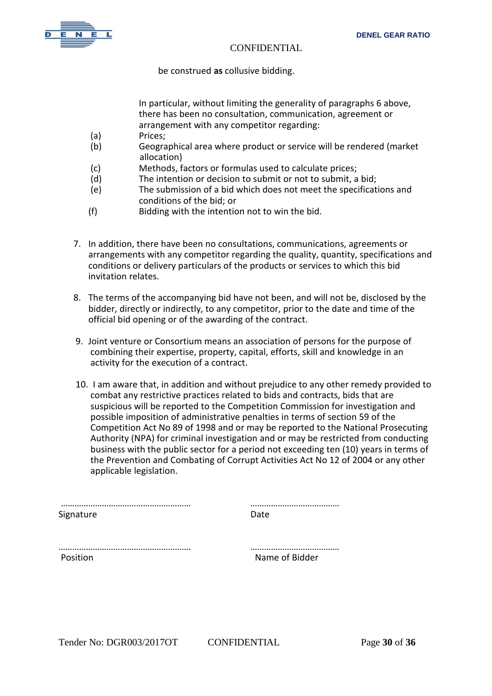

be construed **as** collusive bidding.

In particular, without limiting the generality of paragraphs 6 above, there has been no consultation, communication, agreement or arrangement with any competitor regarding:

- (a) Prices;
- (b) Geographical area where product or service will be rendered (market allocation)
- (c) Methods, factors or formulas used to calculate prices;
- (d) The intention or decision to submit or not to submit, a bid;
- (e) The submission of a bid which does not meet the specifications and conditions of the bid; or
- (f) Bidding with the intention not to win the bid.
- 7. In addition, there have been no consultations, communications, agreements or arrangements with any competitor regarding the quality, quantity, specifications and conditions or delivery particulars of the products or services to which this bid invitation relates.
- 8. The terms of the accompanying bid have not been, and will not be, disclosed by the bidder, directly or indirectly, to any competitor, prior to the date and time of the official bid opening or of the awarding of the contract.
- 9. Joint venture or Consortium means an association of persons for the purpose of combining their expertise, property, capital, efforts, skill and knowledge in an activity for the execution of a contract.
- 10. I am aware that, in addition and without prejudice to any other remedy provided to combat any restrictive practices related to bids and contracts, bids that are suspicious will be reported to the Competition Commission for investigation and possible imposition of administrative penalties in terms of section 59 of the Competition Act No 89 of 1998 and or may be reported to the National Prosecuting Authority (NPA) for criminal investigation and or may be restricted from conducting business with the public sector for a period not exceeding ten (10) years in terms of the Prevention and Combating of Corrupt Activities Act No 12 of 2004 or any other applicable legislation.

| Signature | Date           |
|-----------|----------------|
|           |                |
| Position  | Name of Bidder |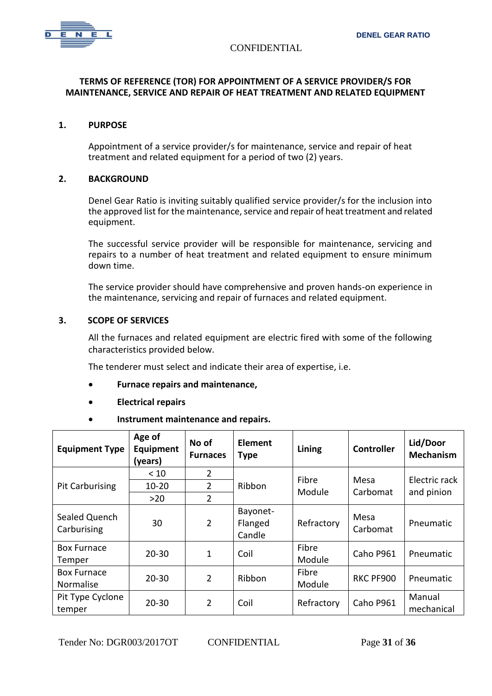

#### **TERMS OF REFERENCE (TOR) FOR APPOINTMENT OF A SERVICE PROVIDER/S FOR MAINTENANCE, SERVICE AND REPAIR OF HEAT TREATMENT AND RELATED EQUIPMENT**

#### **1. PURPOSE**

Appointment of a service provider/s for maintenance, service and repair of heat treatment and related equipment for a period of two (2) years.

#### **2. BACKGROUND**

Denel Gear Ratio is inviting suitably qualified service provider/s for the inclusion into the approved list for the maintenance, service and repair of heat treatment and related equipment.

The successful service provider will be responsible for maintenance, servicing and repairs to a number of heat treatment and related equipment to ensure minimum down time.

The service provider should have comprehensive and proven hands-on experience in the maintenance, servicing and repair of furnaces and related equipment.

#### **3. SCOPE OF SERVICES**

All the furnaces and related equipment are electric fired with some of the following characteristics provided below.

The tenderer must select and indicate their area of expertise, i.e.

- **Furnace repairs and maintenance,**
- **Electrical repairs**
- **Instrument maintenance and repairs.**

| <b>Equipment Type</b>           | Age of<br>Equipment<br>(years) | No of<br><b>Furnaces</b> | Element<br><b>Type</b>        | Lining          | <b>Controller</b> | Lid/Door<br><b>Mechanism</b> |
|---------------------------------|--------------------------------|--------------------------|-------------------------------|-----------------|-------------------|------------------------------|
|                                 | < 10                           | $\overline{2}$           |                               |                 |                   | Electric rack                |
| <b>Pit Carburising</b>          | $10 - 20$                      | $\overline{2}$           | Ribbon                        | Fibre<br>Module | Mesa<br>Carbomat  |                              |
|                                 | $>20$                          | $\overline{2}$           |                               |                 |                   | and pinion                   |
| Sealed Quench<br>Carburising    | 30                             | $\overline{2}$           | Bayonet-<br>Flanged<br>Candle | Refractory      | Mesa<br>Carbomat  | Pneumatic                    |
| <b>Box Furnace</b><br>Temper    | $20 - 30$                      | 1                        | Coil                          | Fibre<br>Module | Caho P961         | Pneumatic                    |
| <b>Box Furnace</b><br>Normalise | $20 - 30$                      | $\overline{2}$           | Ribbon                        | Fibre<br>Module | RKC PF900         | Pneumatic                    |
| Pit Type Cyclone<br>temper      | $20 - 30$                      | $\overline{2}$           | Coil                          | Refractory      | Caho P961         | Manual<br>mechanical         |

Tender No: DGR003/2017OT CONFIDENTIAL Page **31** of **36**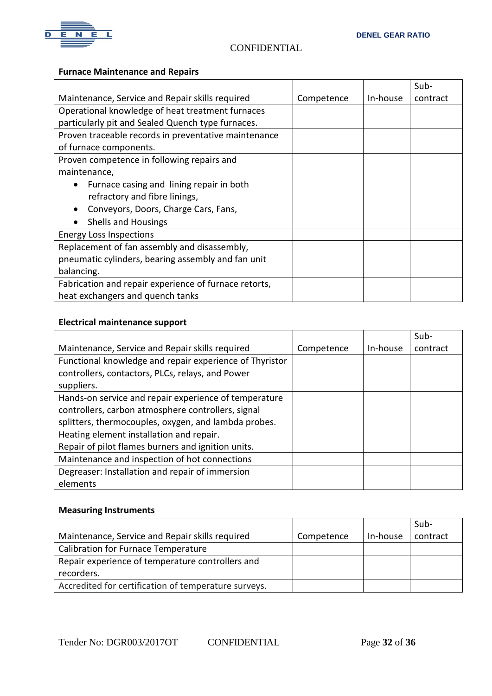

# **Furnace Maintenance and Repairs**

|                                                       |            |          | Sub-     |
|-------------------------------------------------------|------------|----------|----------|
| Maintenance, Service and Repair skills required       | Competence | In-house | contract |
| Operational knowledge of heat treatment furnaces      |            |          |          |
| particularly pit and Sealed Quench type furnaces.     |            |          |          |
| Proven traceable records in preventative maintenance  |            |          |          |
| of furnace components.                                |            |          |          |
| Proven competence in following repairs and            |            |          |          |
| maintenance,                                          |            |          |          |
| Furnace casing and lining repair in both              |            |          |          |
| refractory and fibre linings,                         |            |          |          |
| Conveyors, Doors, Charge Cars, Fans,                  |            |          |          |
| <b>Shells and Housings</b>                            |            |          |          |
| <b>Energy Loss Inspections</b>                        |            |          |          |
| Replacement of fan assembly and disassembly,          |            |          |          |
| pneumatic cylinders, bearing assembly and fan unit    |            |          |          |
| balancing.                                            |            |          |          |
| Fabrication and repair experience of furnace retorts, |            |          |          |
| heat exchangers and quench tanks                      |            |          |          |

# **Electrical maintenance support**

|                                                         |            |          | $Sub-$   |
|---------------------------------------------------------|------------|----------|----------|
| Maintenance, Service and Repair skills required         | Competence | In-house | contract |
| Functional knowledge and repair experience of Thyristor |            |          |          |
| controllers, contactors, PLCs, relays, and Power        |            |          |          |
| suppliers.                                              |            |          |          |
| Hands-on service and repair experience of temperature   |            |          |          |
| controllers, carbon atmosphere controllers, signal      |            |          |          |
| splitters, thermocouples, oxygen, and lambda probes.    |            |          |          |
| Heating element installation and repair.                |            |          |          |
| Repair of pilot flames burners and ignition units.      |            |          |          |
| Maintenance and inspection of hot connections           |            |          |          |
| Degreaser: Installation and repair of immersion         |            |          |          |
| elements                                                |            |          |          |

#### **Measuring Instruments**

|                                                      |            |          | Sub-     |
|------------------------------------------------------|------------|----------|----------|
| Maintenance, Service and Repair skills required      | Competence | In-house | contract |
| <b>Calibration for Furnace Temperature</b>           |            |          |          |
| Repair experience of temperature controllers and     |            |          |          |
| recorders.                                           |            |          |          |
| Accredited for certification of temperature surveys. |            |          |          |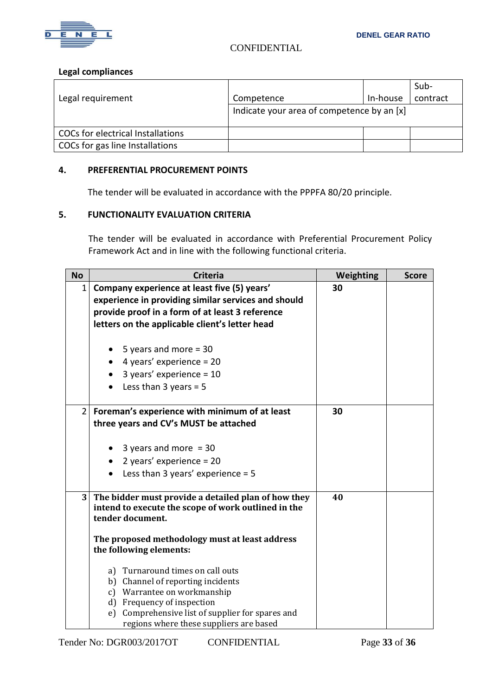

#### **Legal compliances**

|                                          |                                            |          | Sub-     |
|------------------------------------------|--------------------------------------------|----------|----------|
| Legal requirement                        | Competence                                 | In-house | contract |
|                                          | Indicate your area of competence by an [x] |          |          |
| <b>COCs for electrical Installations</b> |                                            |          |          |
| COCs for gas line Installations          |                                            |          |          |

#### **4. PREFERENTIAL PROCUREMENT POINTS**

The tender will be evaluated in accordance with the PPPFA 80/20 principle.

## **5. FUNCTIONALITY EVALUATION CRITERIA**

The tender will be evaluated in accordance with Preferential Procurement Policy Framework Act and in line with the following functional criteria.

| <b>No</b>      | <b>Criteria</b>                                                                                                                                                                                         | <b>Weighting</b> | <b>Score</b> |
|----------------|---------------------------------------------------------------------------------------------------------------------------------------------------------------------------------------------------------|------------------|--------------|
| 1              | Company experience at least five (5) years'<br>experience in providing similar services and should<br>provide proof in a form of at least 3 reference<br>letters on the applicable client's letter head | 30               |              |
|                | 5 years and more $=$ 30                                                                                                                                                                                 |                  |              |
|                | 4 years' experience = $20$                                                                                                                                                                              |                  |              |
|                | 3 years' experience = $10$                                                                                                                                                                              |                  |              |
|                | Less than $3$ years = $5$                                                                                                                                                                               |                  |              |
| $\overline{2}$ | Foreman's experience with minimum of at least                                                                                                                                                           | 30               |              |
|                | three years and CV's MUST be attached                                                                                                                                                                   |                  |              |
|                | 3 years and more $=$ 30                                                                                                                                                                                 |                  |              |
|                | 2 years' experience = $20$                                                                                                                                                                              |                  |              |
|                | Less than 3 years' experience = $5$                                                                                                                                                                     |                  |              |
| 3 <sup>1</sup> | The bidder must provide a detailed plan of how they<br>intend to execute the scope of work outlined in the<br>tender document.                                                                          | 40               |              |
|                | The proposed methodology must at least address<br>the following elements:                                                                                                                               |                  |              |
|                | a) Turnaround times on call outs                                                                                                                                                                        |                  |              |
|                | b) Channel of reporting incidents                                                                                                                                                                       |                  |              |
|                | c) Warrantee on workmanship                                                                                                                                                                             |                  |              |
|                | d) Frequency of inspection                                                                                                                                                                              |                  |              |
|                | e) Comprehensive list of supplier for spares and<br>regions where these suppliers are based                                                                                                             |                  |              |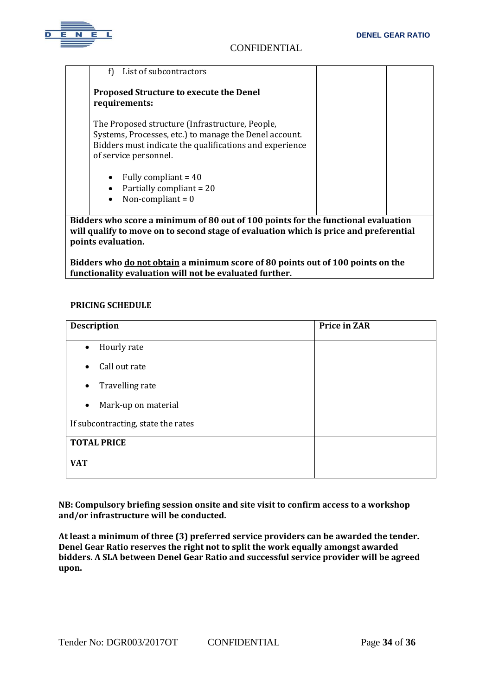

| f)<br>List of subcontractors                                                                                                                                                                  |  |  |  |
|-----------------------------------------------------------------------------------------------------------------------------------------------------------------------------------------------|--|--|--|
| <b>Proposed Structure to execute the Denel</b><br>requirements:                                                                                                                               |  |  |  |
| The Proposed structure (Infrastructure, People,<br>Systems, Processes, etc.) to manage the Denel account.<br>Bidders must indicate the qualifications and experience<br>of service personnel. |  |  |  |
| Fully compliant = $40$<br>$\bullet$<br>Partially compliant = 20<br>Non-compliant = $0$<br>$\bullet$                                                                                           |  |  |  |
| Bidders who score a minimum of 80 out of 100 points for the functional evaluation<br>will qualify to move on to second stage of evaluation which is price and preferential                    |  |  |  |

will qualify to move on to second stage of evaluation which is price a **points evaluation.**

**Bidders who do not obtain a minimum score of 80 points out of 100 points on the functionality evaluation will not be evaluated further.**

## **PRICING SCHEDULE**

| <b>Description</b>                 | <b>Price in ZAR</b> |
|------------------------------------|---------------------|
| Hourly rate<br>$\bullet$           |                     |
| Call out rate<br>$\bullet$         |                     |
| Travelling rate<br>$\bullet$       |                     |
| Mark-up on material<br>$\bullet$   |                     |
| If subcontracting, state the rates |                     |
| <b>TOTAL PRICE</b>                 |                     |
| <b>VAT</b>                         |                     |

**NB: Compulsory briefing session onsite and site visit to confirm access to a workshop and/or infrastructure will be conducted.**

**At least a minimum of three (3) preferred service providers can be awarded the tender. Denel Gear Ratio reserves the right not to split the work equally amongst awarded bidders. A SLA between Denel Gear Ratio and successful service provider will be agreed upon.**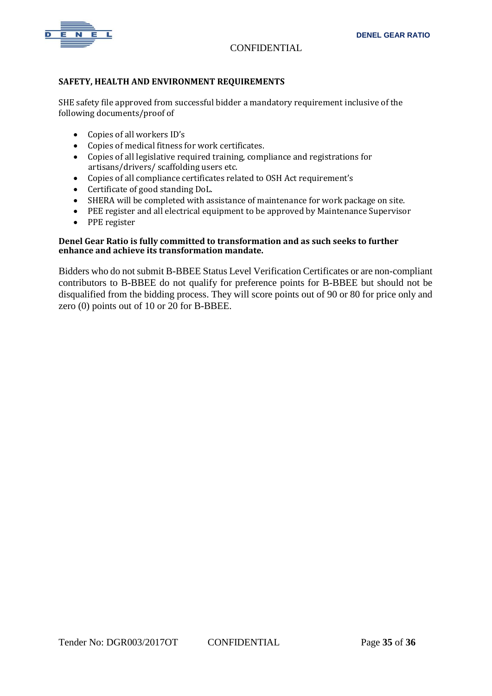

#### **SAFETY, HEALTH AND ENVIRONMENT REQUIREMENTS**

SHE safety file approved from successful bidder a mandatory requirement inclusive of the following documents/proof of

- Copies of all workers ID's
- Copies of medical fitness for work certificates.
- Copies of all legislative required training, compliance and registrations for artisans/drivers/ scaffolding users etc.
- Copies of all compliance certificates related to OSH Act requirement's
- Certificate of good standing DoL.
- SHERA will be completed with assistance of maintenance for work package on site.
- PEE register and all electrical equipment to be approved by Maintenance Supervisor
- PPE register

#### **Denel Gear Ratio is fully committed to transformation and as such seeks to further enhance and achieve its transformation mandate.**

Bidders who do not submit B-BBEE Status Level Verification Certificates or are non-compliant contributors to B-BBEE do not qualify for preference points for B-BBEE but should not be disqualified from the bidding process. They will score points out of 90 or 80 for price only and zero (0) points out of 10 or 20 for B-BBEE.